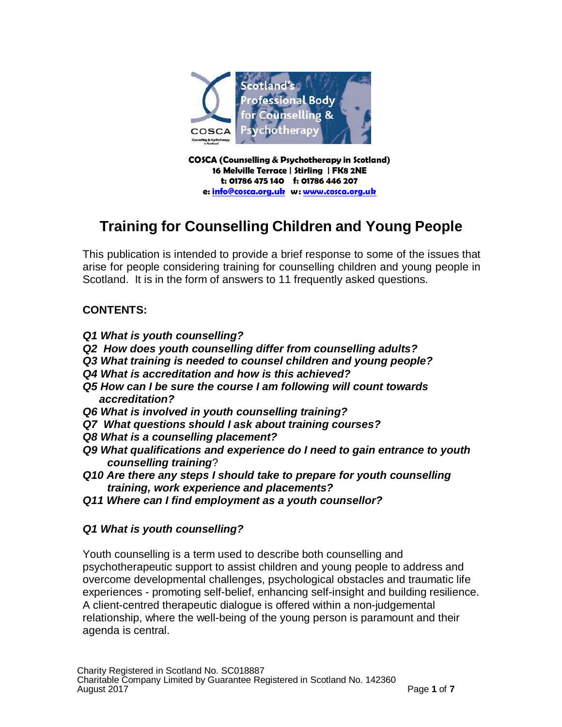

**COSCA (Counselling & Psychotherapy in Scotland) 16 Melville Terrace | Stirling | FK8 2NE t: 01786 475 140 f: 01786 446 207 e: [info@cosca.org.uk](mailto:info@cosca.org.uk) w: [www.cosca.org.uk](http://www.cosca.org.uk/)**

# **Training for Counselling Children and Young People**

This publication is intended to provide a brief response to some of the issues that arise for people considering training for counselling children and young people in Scotland. It is in the form of answers to 11 frequently asked questions.

# **CONTENTS:**

- *Q1 What is youth counselling?*
- *Q2 How does youth counselling differ from counselling adults?*
- *Q3 What training is needed to counsel children and young people?*
- *Q4 What is accreditation and how is this achieved?*
- *Q5 How can I be sure the course I am following will count towards accreditation?*
- *Q6 What is involved in youth counselling training?*
- *Q7 What questions should I ask about training courses?*
- *Q8 What is a counselling placement?*
- *Q9 What qualifications and experience do I need to gain entrance to youth counselling training*?
- *Q10 Are there any steps I should take to prepare for youth counselling training, work experience and placements?*
- *Q11 Where can I find employment as a youth counsellor?*

# *Q1 What is youth counselling?*

Youth counselling is a term used to describe both counselling and psychotherapeutic support to assist children and young people to address and overcome developmental challenges, psychological obstacles and traumatic life experiences - promoting self-belief, enhancing self-insight and building resilience. A client-centred therapeutic dialogue is offered within a non-judgemental relationship, where the well-being of the young person is paramount and their agenda is central.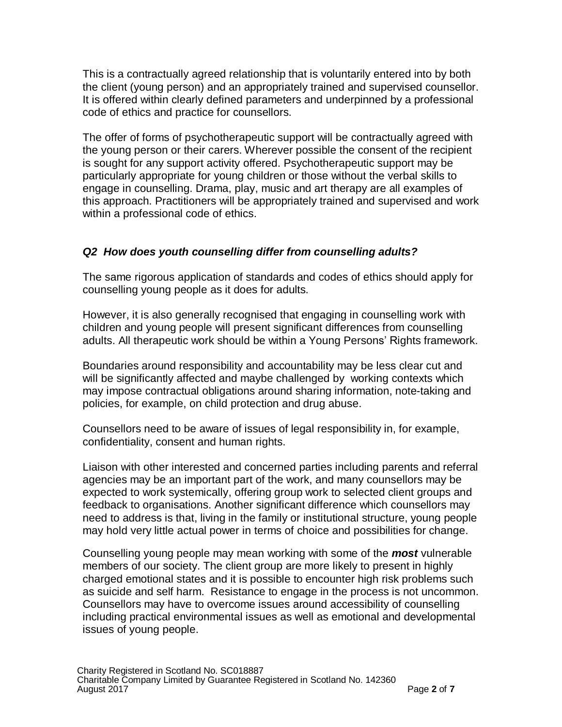This is a contractually agreed relationship that is voluntarily entered into by both the client (young person) and an appropriately trained and supervised counsellor. It is offered within clearly defined parameters and underpinned by a professional code of ethics and practice for counsellors.

The offer of forms of psychotherapeutic support will be contractually agreed with the young person or their carers. Wherever possible the consent of the recipient is sought for any support activity offered. Psychotherapeutic support may be particularly appropriate for young children or those without the verbal skills to engage in counselling. Drama, play, music and art therapy are all examples of this approach. Practitioners will be appropriately trained and supervised and work within a professional code of ethics.

### *Q2 How does youth counselling differ from counselling adults?*

The same rigorous application of standards and codes of ethics should apply for counselling young people as it does for adults.

However, it is also generally recognised that engaging in counselling work with children and young people will present significant differences from counselling adults. All therapeutic work should be within a Young Persons' Rights framework.

Boundaries around responsibility and accountability may be less clear cut and will be significantly affected and maybe challenged by working contexts which may impose contractual obligations around sharing information, note-taking and policies, for example, on child protection and drug abuse.

Counsellors need to be aware of issues of legal responsibility in, for example, confidentiality, consent and human rights.

Liaison with other interested and concerned parties including parents and referral agencies may be an important part of the work, and many counsellors may be expected to work systemically, offering group work to selected client groups and feedback to organisations. Another significant difference which counsellors may need to address is that, living in the family or institutional structure, young people may hold very little actual power in terms of choice and possibilities for change.

Counselling young people may mean working with some of the *most* vulnerable members of our society. The client group are more likely to present in highly charged emotional states and it is possible to encounter high risk problems such as suicide and self harm. Resistance to engage in the process is not uncommon. Counsellors may have to overcome issues around accessibility of counselling including practical environmental issues as well as emotional and developmental issues of young people.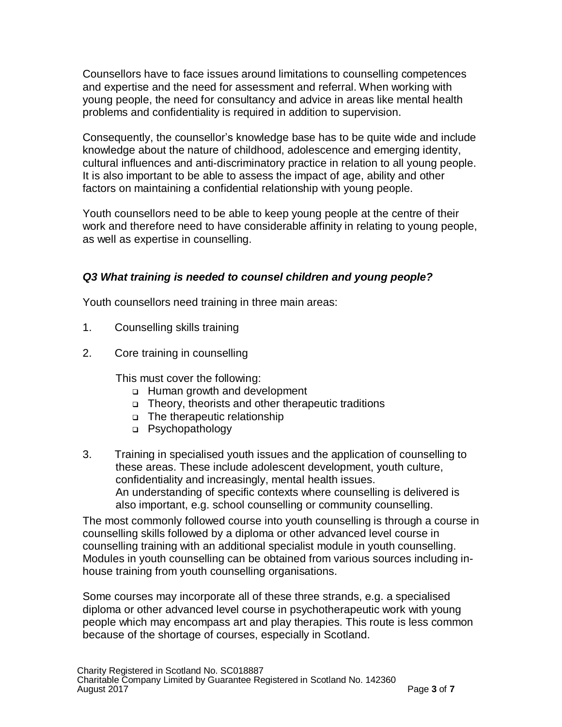Counsellors have to face issues around limitations to counselling competences and expertise and the need for assessment and referral. When working with young people, the need for consultancy and advice in areas like mental health problems and confidentiality is required in addition to supervision.

Consequently, the counsellor's knowledge base has to be quite wide and include knowledge about the nature of childhood, adolescence and emerging identity, cultural influences and anti-discriminatory practice in relation to all young people. It is also important to be able to assess the impact of age, ability and other factors on maintaining a confidential relationship with young people.

Youth counsellors need to be able to keep young people at the centre of their work and therefore need to have considerable affinity in relating to young people, as well as expertise in counselling.

### *Q3 What training is needed to counsel children and young people?*

Youth counsellors need training in three main areas:

- 1. Counselling skills training
- 2. Core training in counselling

This must cover the following:

- Human growth and development
- Theory, theorists and other therapeutic traditions
- The therapeutic relationship
- Psychopathology
- 3. Training in specialised youth issues and the application of counselling to these areas. These include adolescent development, youth culture, confidentiality and increasingly, mental health issues. An understanding of specific contexts where counselling is delivered is also important, e.g. school counselling or community counselling.

The most commonly followed course into youth counselling is through a course in counselling skills followed by a diploma or other advanced level course in counselling training with an additional specialist module in youth counselling. Modules in youth counselling can be obtained from various sources including inhouse training from youth counselling organisations.

Some courses may incorporate all of these three strands, e.g. a specialised diploma or other advanced level course in psychotherapeutic work with young people which may encompass art and play therapies. This route is less common because of the shortage of courses, especially in Scotland.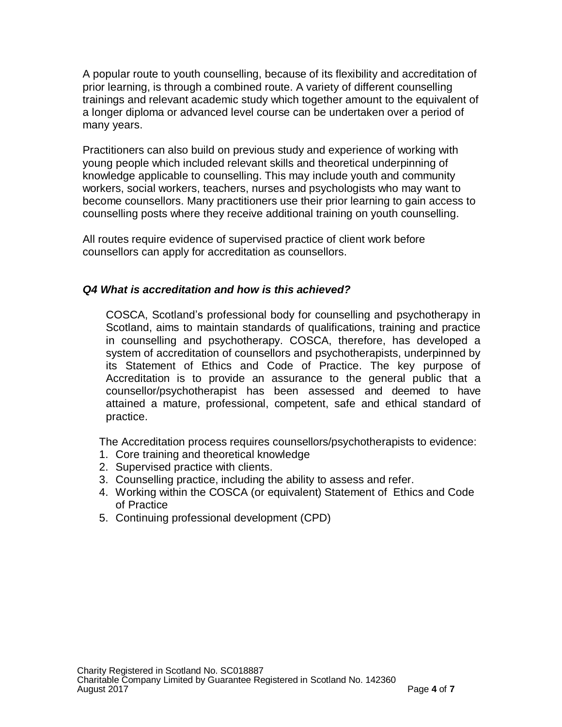A popular route to youth counselling, because of its flexibility and accreditation of prior learning, is through a combined route. A variety of different counselling trainings and relevant academic study which together amount to the equivalent of a longer diploma or advanced level course can be undertaken over a period of many years.

Practitioners can also build on previous study and experience of working with young people which included relevant skills and theoretical underpinning of knowledge applicable to counselling. This may include youth and community workers, social workers, teachers, nurses and psychologists who may want to become counsellors. Many practitioners use their prior learning to gain access to counselling posts where they receive additional training on youth counselling.

All routes require evidence of supervised practice of client work before counsellors can apply for accreditation as counsellors.

#### *Q4 What is accreditation and how is this achieved?*

COSCA, Scotland's professional body for counselling and psychotherapy in Scotland, aims to maintain standards of qualifications, training and practice in counselling and psychotherapy. COSCA, therefore, has developed a system of accreditation of counsellors and psychotherapists, underpinned by its Statement of Ethics and Code of Practice. The key purpose of Accreditation is to provide an assurance to the general public that a counsellor/psychotherapist has been assessed and deemed to have attained a mature, professional, competent, safe and ethical standard of practice.

The Accreditation process requires counsellors/psychotherapists to evidence:

- 1. Core training and theoretical knowledge
- 2. Supervised practice with clients.
- 3. Counselling practice, including the ability to assess and refer.
- 4. Working within the COSCA (or equivalent) Statement of Ethics and Code of Practice
- 5. Continuing professional development (CPD)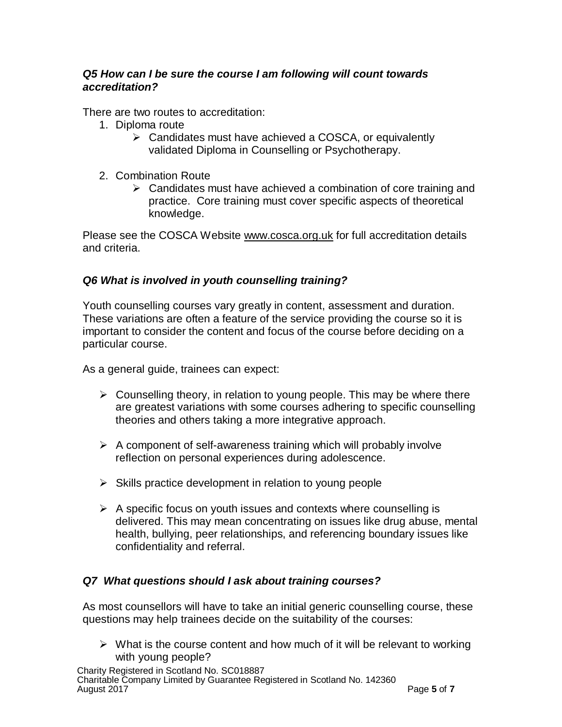### *Q5 How can I be sure the course I am following will count towards accreditation?*

There are two routes to accreditation:

- 1. Diploma route
	- $\triangleright$  Candidates must have achieved a COSCA, or equivalently validated Diploma in Counselling or Psychotherapy.
- 2. Combination Route
	- $\triangleright$  Candidates must have achieved a combination of core training and practice. Core training must cover specific aspects of theoretical knowledge.

Please see the COSCA Website [www.cosca.org.uk](http://www.cosca.org.uk/) for full accreditation details and criteria.

# *Q6 What is involved in youth counselling training?*

Youth counselling courses vary greatly in content, assessment and duration. These variations are often a feature of the service providing the course so it is important to consider the content and focus of the course before deciding on a particular course.

As a general guide, trainees can expect:

- $\triangleright$  Counselling theory, in relation to young people. This may be where there are greatest variations with some courses adhering to specific counselling theories and others taking a more integrative approach.
- $\triangleright$  A component of self-awareness training which will probably involve reflection on personal experiences during adolescence.
- $\triangleright$  Skills practice development in relation to young people
- $\triangleright$  A specific focus on youth issues and contexts where counselling is delivered. This may mean concentrating on issues like drug abuse, mental health, bullying, peer relationships, and referencing boundary issues like confidentiality and referral.

# *Q7 What questions should I ask about training courses?*

As most counsellors will have to take an initial generic counselling course, these questions may help trainees decide on the suitability of the courses:

 $\triangleright$  What is the course content and how much of it will be relevant to working with young people?

Charity Registered in Scotland No. SC018887 Charitable Company Limited by Guarantee Registered in Scotland No. 142360 August 2017 **Page 5** of **7**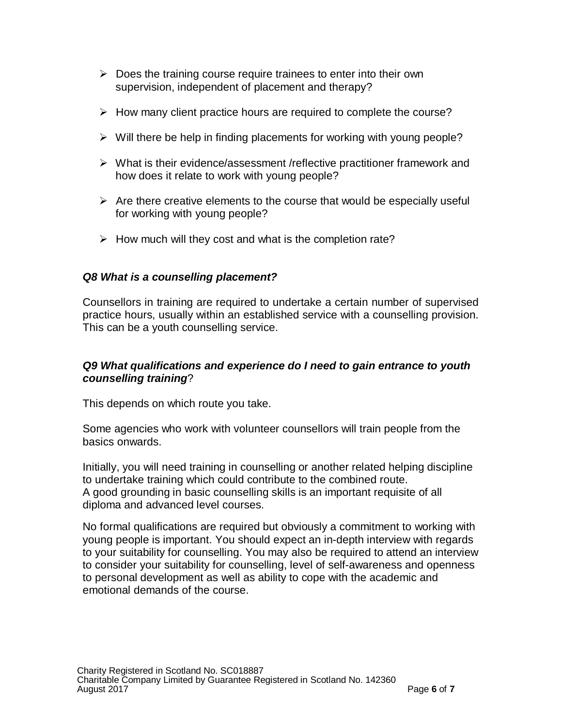- $\triangleright$  Does the training course require trainees to enter into their own supervision, independent of placement and therapy?
- $\triangleright$  How many client practice hours are required to complete the course?
- $\triangleright$  Will there be help in finding placements for working with young people?
- $\triangleright$  What is their evidence/assessment /reflective practitioner framework and how does it relate to work with young people?
- $\triangleright$  Are there creative elements to the course that would be especially useful for working with young people?
- $\triangleright$  How much will they cost and what is the completion rate?

# *Q8 What is a counselling placement?*

Counsellors in training are required to undertake a certain number of supervised practice hours, usually within an established service with a counselling provision. This can be a youth counselling service.

### *Q9 What qualifications and experience do I need to gain entrance to youth counselling training*?

This depends on which route you take.

Some agencies who work with volunteer counsellors will train people from the basics onwards.

Initially, you will need training in counselling or another related helping discipline to undertake training which could contribute to the combined route. A good grounding in basic counselling skills is an important requisite of all diploma and advanced level courses.

No formal qualifications are required but obviously a commitment to working with young people is important. You should expect an in-depth interview with regards to your suitability for counselling. You may also be required to attend an interview to consider your suitability for counselling, level of self-awareness and openness to personal development as well as ability to cope with the academic and emotional demands of the course.